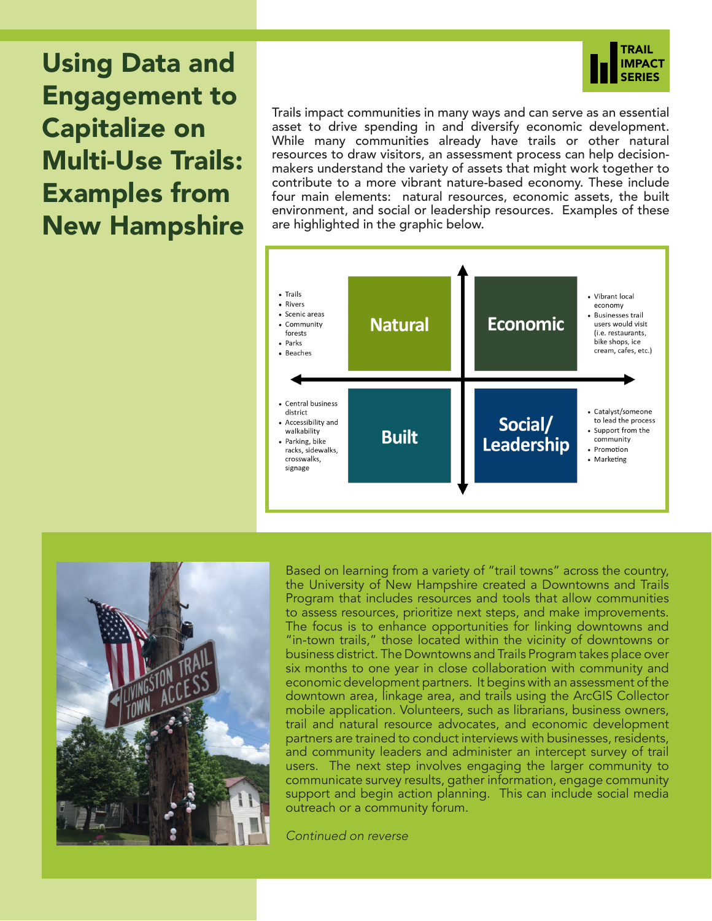Using Data and Engagement to Capitalize on Multi-Use Trails: Examples from New Hampshire



Trails impact communities in many ways and can serve as an essential asset to drive spending in and diversify economic development. While many communities already have trails or other natural resources to draw visitors, an assessment process can help decisionmakers understand the variety of assets that might work together to contribute to a more vibrant nature-based economy. These include four main elements: natural resources, economic assets, the built environment, and social or leadership resources. Examples of these are highlighted in the graphic below.





Based on learning from a variety of "trail towns" across the country, the University of New Hampshire created a Downtowns and Trails Program that includes resources and tools that allow communities to assess resources, prioritize next steps, and make improvements. The focus is to enhance opportunities for linking downtowns and "in-town trails," those located within the vicinity of downtowns or business district. The Downtowns and Trails Program takes place over six months to one year in close collaboration with community and economic development partners. It begins with an assessment of the downtown area, linkage area, and trails using the ArcGIS Collector mobile application. Volunteers, such as librarians, business owners, trail and natural resource advocates, and economic development partners are trained to conduct interviews with businesses, residents, and community leaders and administer an intercept survey of trail users. The next step involves engaging the larger community to communicate survey results, gather information, engage community support and begin action planning. This can include social media outreach or a community forum.

*Continued on reverse*